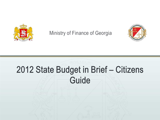

Ministry of Finance of Georgia



# 2012 State Budget in Brief – Citizens **Guide**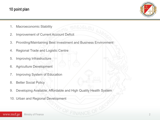## 10 point plan



- 1. Macroeconomic Stability
- 2. Improvement of Current Account Deficit
- 3. Providing/Maintaining Best Investment and Business Environment
- 4. Regional Trade and Logistic Centre
- 5. Improving Infrastructure
- 6. Agriculture Development
- 7. Improving System of Education
- 8. Better Social Policy
- 9. Developing Available, Affordable and High Quality Health System
- 10. Urban and Regional Development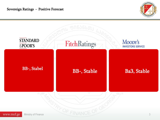

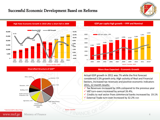#### Successful Economic Development Based on Reforms



**High Rate Economic Growth in 2010 after a short fall in 2009 GDP per capita high growth – PPP and Nominal**



Ministry of Finance

www.mof.ge





#### **Diversified Structure of GDP\* More than Expected – Economic Growth**

Actual GDP growth in 2011 was 7% while the first forecast considered 5.5% growth only. High activity of Real and Financial Sectors, increased tax revenues and positive economic indicators 2011, 12 month results:

 $\checkmark$  Tax Revenues increased by 26% compared to the previous year

 $\checkmark$  VAT turn-overs increased by annual 26.4%;

 $\checkmark$  Credits to real sector from commercial banks increased by 19.1% External Trade turn-over increased by 32.2%-ით

4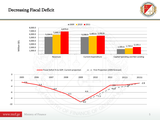## Decreasing Fiscal Deficit



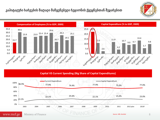



**Capital VS Current Spending (Big Share of Capital Expenditures)**

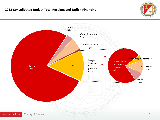

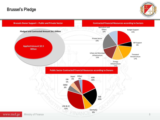## Brussel's Pledge



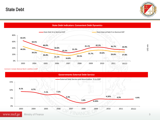State Debt





*Comment: Includes National Bank's Liabilities to IMF*



US\$ mln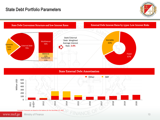## State Debt Portfolio Parameters





State External Debt Amortisation



*Comment: Forecasts are based on the balance for the December 31, 2011*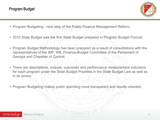

- Program Budgeting next step of the Public Finance Management Reform;
- 2012 State Budget was the first State Budget prepared in Program Budget Format;
- Program Budget Methodology has been prepared as a result of consultations with the representatives of the IMF, WB, Finance-Budget Committee of the Parliament of Georgia and Chamber of Control;
- There are descriptions, outputs, outcomes and performance measurement indicators for each program under the State Budget Priorities in the State Budget Law as well as in its annex;
- Program Budgeting makes public spending more transparent and results oriented;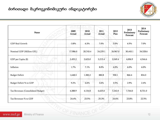

| Name                               | 2009<br>Actual | 2010<br>Actual | 2011<br>Actual | 2012<br>Plan | 2013<br>Preliminary<br>Forecast | 2014<br>Preliminary<br>Forecast |
|------------------------------------|----------------|----------------|----------------|--------------|---------------------------------|---------------------------------|
| GDP Real Growth                    | $-3.8\%$       | 6.3%           | 7.0%           | 5.0%         | 6.5%                            | 7.0%                            |
| Nominal GDP (Million GEL)          | 17,986.0       | 20,743.4       | 24,229.1       | 26,967.0     | 30,443.1                        | 34,528.6                        |
| GDP per Capita (\$)                | 2,455.2        | 2,623.0        | 3,215.4        | 3,549.4      | 4,006.9                         | 4,544.6                         |
| Inflation                          | 1.7%           | 7.1%           | 8.0%           | 6.0%         | 6.0%                            | $6.0\%$                         |
| <b>Budget Deficit</b>              | 1,648.3        | 1,383.2        | 880.8          | 930.1        | 866.4                           | 834.0                           |
| Budget Deficit % to GDP            | 9.2%           | 6.6%           | 3.6%           | 3.5%         | 2.9%                            | 2.4%                            |
| Tax Revenues (Consolidated Budget) | 4,388.9        | 4,134.8        | 6,625.0        | 7,242.0      | 7,764.0                         | 8,731.0                         |
| Tax Revenues % to GDP              | 24.4%          | 23.5%          | 25.3%          | 24.6%        | 23.8%                           | 22.5%                           |

Ministry of Finance OF FINANCE OF GEO www.mof.ge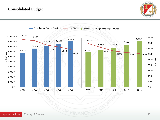### Consolidated Budget



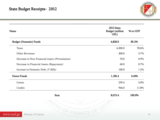

| Name                                             | 2012 State<br><b>Budget</b> (million<br>GEL)                                                         | % to GDP |  |
|--------------------------------------------------|------------------------------------------------------------------------------------------------------|----------|--|
| <b>Budget (Domestic) Funds</b>                   | 6,830.0                                                                                              | 85.2%    |  |
| <b>Taxes</b>                                     | 6,300.0                                                                                              | 78.6%    |  |
| Other Revenues                                   | 300.0                                                                                                | 3.7%     |  |
| Decrease in Non-Financial Assets (Privatisation) | 70.0                                                                                                 | 0.9%     |  |
| Decrease in Financial Assets (Repayment)         | 60.0                                                                                                 | $0.7\%$  |  |
| Increase in Domestic Debt (T-Bills)              | 100.0                                                                                                | 1.2%     |  |
| Donor Funds                                      | 1,185.4                                                                                              | 14.8%    |  |
| Grants                                           | 239.4                                                                                                | 3.0%     |  |
| Credits                                          | 946.0                                                                                                | 11.8%    |  |
| Sum                                              | 8,015.4                                                                                              | 100.0%   |  |
| $\sqrt{16}$ $\sqrt{2}$                           | $\lambda$ $\rightarrow$ $\rightarrow$ $\rightarrow$ $\sim$ $\rightarrow$ $\sim$ $\sim$ $\rightarrow$ |          |  |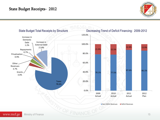

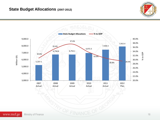#### **State Budget Allocations (2007-2012)**





www.mof.ge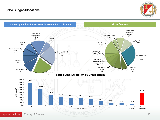#### State Budget Allocations



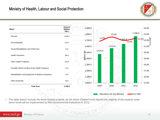

| Name                                                 | Amount<br>(Million<br>GEL) | 1,900.0                          |                              |                | 24.0%                       |
|------------------------------------------------------|----------------------------|----------------------------------|------------------------------|----------------|-----------------------------|
| Pension                                              | 1,058.4                    | 1,800.0                          | 22.6%                        | 1,768.0        | 23.0%                       |
| Social Benefits                                      | 273.9                      | 1,700.0                          | 21.9%                        | 641.6<br>22.0% | , <sup>22.3</sup> % 22.0% 0 |
| Social Rehabilitation and Child Care                 | 13.6                       | 1,600.0<br>$\overline{9}$ ,500.0 | 1,572.4<br>1,476.4           |                | $21.0\%$                    |
| Health Insurance                                     | 168.5                      | $\frac{6}{2}$ ,400.0             |                              |                | 20.0%<br>19.0%              |
| Other Health Programs                                | 169.8                      | 1,300.0                          |                              |                | 18.0%                       |
| Possible Deficit Funding of the Health Programs      | 15.0                       | 1,200.0                          |                              |                | 17.0%                       |
| Rehabilitation and Equipment of Medical Institutions | 12.0                       | 1,100.0                          |                              |                | 16.0%                       |
| Other Expenses                                       | 56.8                       | 1,000.0                          |                              |                | 15.0%                       |
| <b>Total Sum</b>                                     | 1,768.0                    |                                  | 2010<br>2009                 | 2011<br>2012   |                             |
|                                                      |                            |                                  | Allocations for the Ministry | ■% to GDP      |                             |

• The table doesn't include the donor funded projects, as per donor (Global Fund) request the majority of the projects under donor funds will be implemented by Non-Governmental Institutions in 2012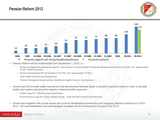



- Pension Reform will be implemented from September 1, 2012 i.e.:
	- Pension package for the pensioners aged 67 and more and I Group Disability Pension Beneficiaries will be worth of 140 GEL (incl. approximately 15 GEL Health Insurance);
	- Pension Package below 67 will be worth of 125 GEL (incl. approximately 15 GEL);
	- State Health Insurance for all pensioners;
	- Pension Package will include pension, benefits for length of service, and insurance;
- Government will provide health insurance to the beneficiaries followed below in parallel to pension reform in order to develop health care system and assist its citizens in bearing health expenses:
	- Children aged 0-5 290,0 thousand beneficiaries;
	- All pensioners by age and I Group disabled people more than 690,0 thousand beneficiaries;
- Government together with private sector will continue rehabilitation/construction and equipping Medical Institutions in 2012- 2013. 152 new/rehabilitated and well-equipped hospitals will be functioning for the end of the 2013;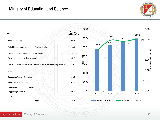## Ministry of Education and Science



| Name                                                                      | <b>Amount</b><br>(million GEL) | 700.0                                                                                         |                        |               |                            | 595.0 | 8.0%                                          |
|---------------------------------------------------------------------------|--------------------------------|-----------------------------------------------------------------------------------------------|------------------------|---------------|----------------------------|-------|-----------------------------------------------|
| School Financing                                                          | 327.0                          | 600.0                                                                                         |                        | 7.5%<br>519.9 | 552.5<br>7.4%              |       | 7.5% 7.5%                                     |
| Rehabilitation/Construction of the Public Schools                         | 40.0                           | 500.0                                                                                         | 469.9<br>7.0%          |               |                            |       |                                               |
| Providing Internet Access to Public Schools                               | 5.4                            |                                                                                               |                        |               |                            |       |                                               |
| Providing netbooks to first-year pupils                                   | 25.6                           | $\begin{array}{l} \frac{\text{d}}{\text{d}t} & 00.0 \\ \text{Sim} & 0 \\ 0.0 & 0 \end{array}$ |                        |               |                            |       | on<br>Solid Stranger<br>Solid Budget Spending |
| Providing School-Books to the Children of the Families under poverty-line | 6.5                            |                                                                                               |                        |               |                            |       |                                               |
| Financing VET                                                             | $7.5\,$                        | 200.0                                                                                         |                        |               |                            |       |                                               |
| <b>Supporting Tertiary Education</b>                                      | 14.3                           |                                                                                               |                        |               |                            |       |                                               |
| Scholarships to Students                                                  | 51.6                           | 100.0                                                                                         |                        |               |                            |       | 5.5%                                          |
| Supporting Student employment                                             | 15.0                           |                                                                                               |                        |               |                            |       |                                               |
| <b>Supporting Scientists</b>                                              | 30.0                           | 0.0                                                                                           | 2009                   | 2010          | 2011                       | 2012  | 5.0%                                          |
| Other                                                                     | 72.1                           |                                                                                               |                        |               |                            |       |                                               |
| <b>Total</b>                                                              | 595.0                          |                                                                                               | Financing the Ministry |               | % to Total Budget Spending |       |                                               |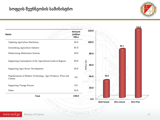## სოფლის მეურნეობის სამინისტრო



| <b>Name</b>                                                             | <b>Amount</b><br>(million<br>GEL) | 120.0               |             |             |                  |
|-------------------------------------------------------------------------|-----------------------------------|---------------------|-------------|-------------|------------------|
| <b>Updating Agriculture Machinery</b>                                   | 15.4                              | 100.0               |             |             |                  |
| Intensifying Agriculture Industry                                       | 41.0                              |                     |             | 85.1        |                  |
| Modernizing Melioration Systems                                         | 10.0                              | 80.0                |             |             |                  |
| Supporting Consumption of the Agricultural Lands in Regions             | 20.0                              | Million GEL<br>60.0 |             |             |                  |
| Supporting Agro-Sector Development                                      | 10.6                              |                     |             |             |                  |
| Popularization of Modern Technology, Agro-Products, Wine and<br>Cuisine | 4.5                               | 40.0                | 30.6        |             |                  |
| <b>Supporting Vintage Process</b>                                       | $5.0\,$                           |                     |             |             |                  |
| Other                                                                   | 13.5                              | 20.0                |             |             |                  |
| <b>Total</b>                                                            | 120.0                             | 0.0                 |             |             |                  |
|                                                                         |                                   |                     | 2010 Actual | 2011 Actual | <b>2012 Plan</b> |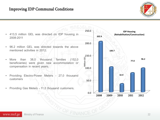#### Improving IDP Communal Conditions



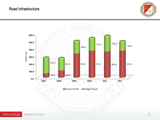#### Road Infrastructure



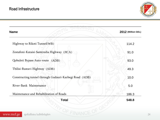

| <b>Name</b>                                            | 2012 (Million GEL) |
|--------------------------------------------------------|--------------------|
| Highway to Rikoti Tunnel(WB)                           | 114.2              |
| Zestafoni-Kutaisi-Samtredia Highway (JICA)             | 91.0               |
| Qobuleti Bypass Auto-route (ADB)                       | 93.0               |
| Tbilisi-Rustavi Highway (ADB)                          | 49.3               |
| Constructing tunnel through Gudauri-Kazbegi Road (ADB) | 10.0               |
| River-Bank Maintenance                                 | 5.0                |
| Maintenance and Rehabilitation of Roads                | 186.3              |
| <b>Total</b>                                           | 548.8              |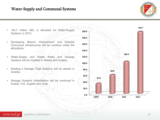

- 194.7 million GEL is allocated for Water-Supply Systems in 2012;
- Developing Batumi, Khelvachauri and Kobuleti Communal Infrastructure will be continue under the allocations;
- Water-Supply and Waste Water and Sewage Systems will be installed in Mestia and Anaklia;
- Building a Sewage Treat Systems will be started in Anaklia;
- Sewage Systems rehabilitation will be continued in Kutaisi, Foti, Zugdidi and Ureki